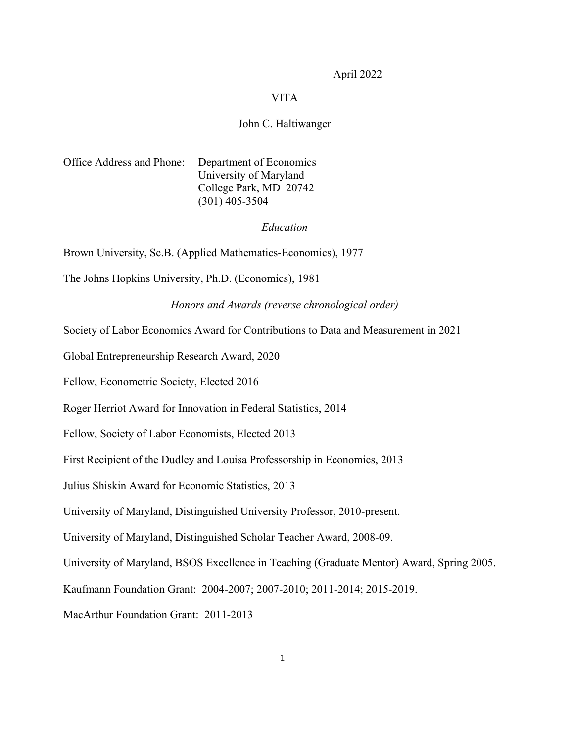April 2022

## VITA

# John C. Haltiwanger

Office Address and Phone: Department of Economics University of Maryland College Park, MD 20742 (301) 405-3504

# *Education*

Brown University, Sc.B. (Applied Mathematics-Economics), 1977

The Johns Hopkins University, Ph.D. (Economics), 1981

*Honors and Awards (reverse chronological order)*

Society of Labor Economics Award for Contributions to Data and Measurement in 2021

Global Entrepreneurship Research Award, 2020

Fellow, Econometric Society, Elected 2016

Roger Herriot Award for Innovation in Federal Statistics, 2014

Fellow, Society of Labor Economists, Elected 2013

First Recipient of the Dudley and Louisa Professorship in Economics, 2013

Julius Shiskin Award for Economic Statistics, 2013

University of Maryland, Distinguished University Professor, 2010-present.

University of Maryland, Distinguished Scholar Teacher Award, 2008-09.

University of Maryland, BSOS Excellence in Teaching (Graduate Mentor) Award, Spring 2005.

Kaufmann Foundation Grant: 2004-2007; 2007-2010; 2011-2014; 2015-2019.

MacArthur Foundation Grant: 2011-2013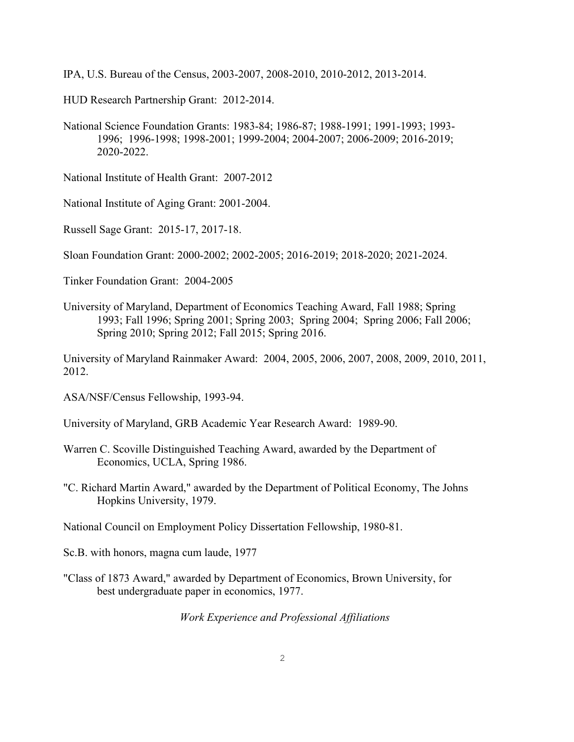IPA, U.S. Bureau of the Census, 2003-2007, 2008-2010, 2010-2012, 2013-2014.

HUD Research Partnership Grant: 2012-2014.

National Science Foundation Grants: 1983-84; 1986-87; 1988-1991; 1991-1993; 1993- 1996; 1996-1998; 1998-2001; 1999-2004; 2004-2007; 2006-2009; 2016-2019; 2020-2022.

National Institute of Health Grant: 2007-2012

National Institute of Aging Grant: 2001-2004.

Russell Sage Grant: 2015-17, 2017-18.

Sloan Foundation Grant: 2000-2002; 2002-2005; 2016-2019; 2018-2020; 2021-2024.

Tinker Foundation Grant: 2004-2005

University of Maryland, Department of Economics Teaching Award, Fall 1988; Spring 1993; Fall 1996; Spring 2001; Spring 2003; Spring 2004; Spring 2006; Fall 2006; Spring 2010; Spring 2012; Fall 2015; Spring 2016.

University of Maryland Rainmaker Award: 2004, 2005, 2006, 2007, 2008, 2009, 2010, 2011, 2012.

ASA/NSF/Census Fellowship, 1993-94.

University of Maryland, GRB Academic Year Research Award: 1989-90.

- Warren C. Scoville Distinguished Teaching Award, awarded by the Department of Economics, UCLA, Spring 1986.
- "C. Richard Martin Award," awarded by the Department of Political Economy, The Johns Hopkins University, 1979.

National Council on Employment Policy Dissertation Fellowship, 1980-81.

Sc.B. with honors, magna cum laude, 1977

"Class of 1873 Award," awarded by Department of Economics, Brown University, for best undergraduate paper in economics, 1977.

*Work Experience and Professional Affiliations*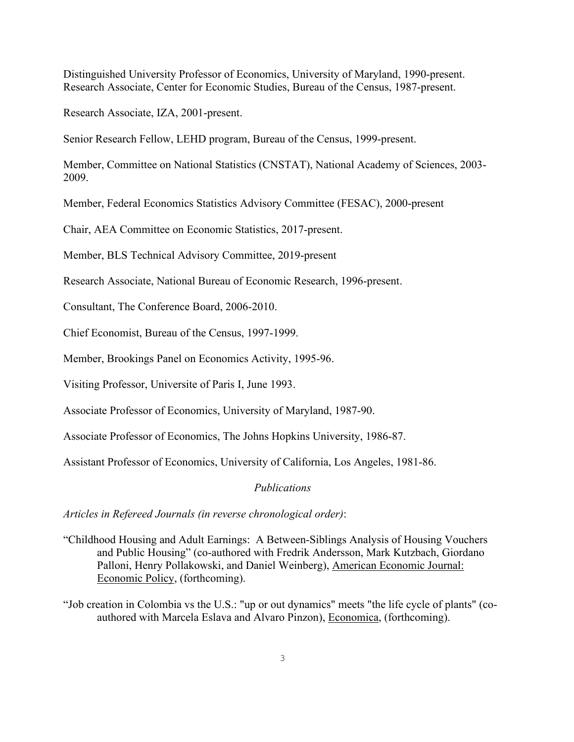Distinguished University Professor of Economics, University of Maryland, 1990-present. Research Associate, Center for Economic Studies, Bureau of the Census, 1987-present.

Research Associate, IZA, 2001-present.

Senior Research Fellow, LEHD program, Bureau of the Census, 1999-present.

Member, Committee on National Statistics (CNSTAT), National Academy of Sciences, 2003- 2009.

Member, Federal Economics Statistics Advisory Committee (FESAC), 2000-present

Chair, AEA Committee on Economic Statistics, 2017-present.

Member, BLS Technical Advisory Committee, 2019-present

Research Associate, National Bureau of Economic Research, 1996-present.

Consultant, The Conference Board, 2006-2010.

Chief Economist, Bureau of the Census, 1997-1999.

Member, Brookings Panel on Economics Activity, 1995-96.

Visiting Professor, Universite of Paris I, June 1993.

Associate Professor of Economics, University of Maryland, 1987-90.

Associate Professor of Economics, The Johns Hopkins University, 1986-87.

Assistant Professor of Economics, University of California, Los Angeles, 1981-86.

### *Publications*

*Articles in Refereed Journals (in reverse chronological order)*:

- "Childhood Housing and Adult Earnings: A Between-Siblings Analysis of Housing Vouchers and Public Housing" (co-authored with Fredrik Andersson, Mark Kutzbach, Giordano Palloni, Henry Pollakowski, and Daniel Weinberg), American Economic Journal: Economic Policy, (forthcoming).
- "Job creation in Colombia vs the U.S.: "up or out dynamics" meets "the life cycle of plants" (coauthored with Marcela Eslava and Alvaro Pinzon), Economica, (forthcoming).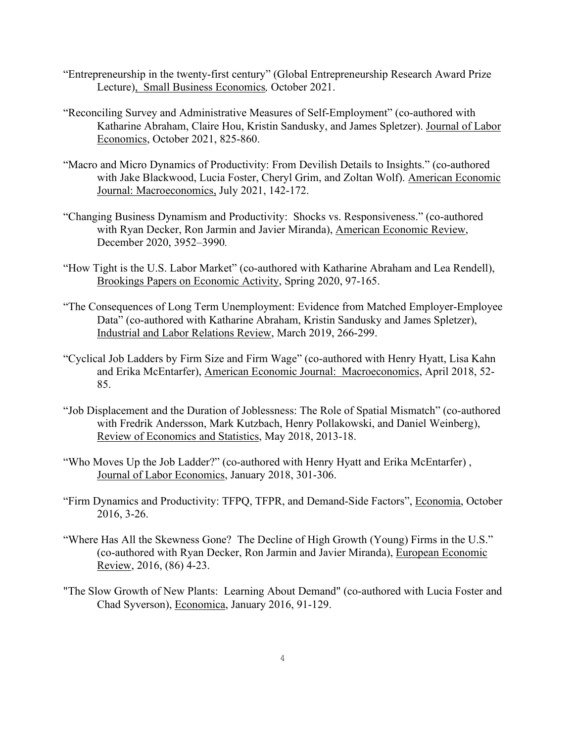- "Entrepreneurship in the twenty-first century" (Global Entrepreneurship Research Award Prize Lecture), Small Business Economics*,* October 2021.
- "Reconciling Survey and Administrative Measures of Self-Employment" (co-authored with Katharine Abraham, Claire Hou, Kristin Sandusky, and James Spletzer). Journal of Labor Economics, October 2021, 825-860.
- "Macro and Micro Dynamics of Productivity: From Devilish Details to Insights." (co-authored with Jake Blackwood, Lucia Foster, Cheryl Grim, and Zoltan Wolf). American Economic Journal: Macroeconomics, July 2021, 142-172.
- "Changing Business Dynamism and Productivity: Shocks vs. Responsiveness." (co-authored with Ryan Decker, Ron Jarmin and Javier Miranda), American Economic Review, December 2020, 3952–3990*.*
- "How Tight is the U.S. Labor Market" (co-authored with Katharine Abraham and Lea Rendell), Brookings Papers on Economic Activity, Spring 2020, 97-165.
- "The Consequences of Long Term Unemployment: Evidence from Matched Employer-Employee Data" (co-authored with Katharine Abraham, Kristin Sandusky and James Spletzer), Industrial and Labor Relations Review, March 2019, 266-299.
- "Cyclical Job Ladders by Firm Size and Firm Wage" (co-authored with Henry Hyatt, Lisa Kahn and Erika McEntarfer), American Economic Journal: Macroeconomics, April 2018, 52- 85.
- "Job Displacement and the Duration of Joblessness: The Role of Spatial Mismatch" (co-authored with Fredrik Andersson, Mark Kutzbach, Henry Pollakowski, and Daniel Weinberg), Review of Economics and Statistics, May 2018, 2013-18.
- "Who Moves Up the Job Ladder?" (co-authored with Henry Hyatt and Erika McEntarfer) , Journal of Labor Economics, January 2018, 301-306.
- "Firm Dynamics and Productivity: TFPQ, TFPR, and Demand-Side Factors", Economia, October 2016, 3-26.
- "Where Has All the Skewness Gone? The Decline of High Growth (Young) Firms in the U.S." (co-authored with Ryan Decker, Ron Jarmin and Javier Miranda), European Economic Review, 2016, (86) 4-23.
- "The Slow Growth of New Plants: Learning About Demand" (co-authored with Lucia Foster and Chad Syverson), Economica, January 2016, 91-129.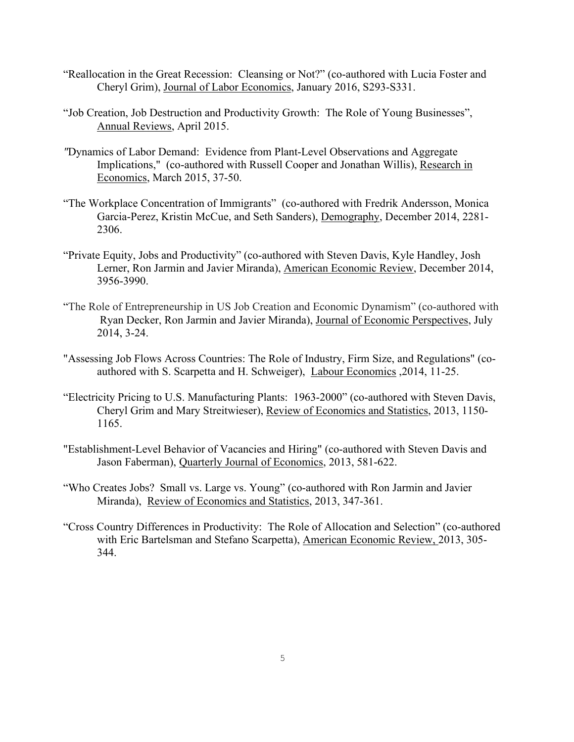- "Reallocation in the Great Recession: Cleansing or Not?" (co-authored with Lucia Foster and Cheryl Grim), Journal of Labor Economics, January 2016, S293-S331.
- "Job Creation, Job Destruction and Productivity Growth: The Role of Young Businesses", Annual Reviews, April 2015.
- *"*Dynamics of Labor Demand: Evidence from Plant-Level Observations and Aggregate Implications," (co-authored with Russell Cooper and Jonathan Willis), Research in Economics, March 2015, 37-50.
- "The Workplace Concentration of Immigrants" (co-authored with Fredrik Andersson, Monica Garcia-Perez, Kristin McCue, and Seth Sanders), Demography, December 2014, 2281- 2306.
- "Private Equity, Jobs and Productivity" (co-authored with Steven Davis, Kyle Handley, Josh Lerner, Ron Jarmin and Javier Miranda), American Economic Review, December 2014, 3956-3990.
- "The Role of Entrepreneurship in US Job Creation and Economic Dynamism" (co-authored with Ryan Decker, Ron Jarmin and Javier Miranda), Journal of Economic Perspectives, July 2014, 3-24.
- "Assessing Job Flows Across Countries: The Role of Industry, Firm Size, and Regulations" (coauthored with S. Scarpetta and H. Schweiger), Labour Economics ,2014, 11-25.
- "Electricity Pricing to U.S. Manufacturing Plants: 1963-2000" (co-authored with Steven Davis, Cheryl Grim and Mary Streitwieser), Review of Economics and Statistics, 2013, 1150- 1165.
- "Establishment-Level Behavior of Vacancies and Hiring" (co-authored with Steven Davis and Jason Faberman), Quarterly Journal of Economics, 2013, 581-622.
- "Who Creates Jobs? Small vs. Large vs. Young" (co-authored with Ron Jarmin and Javier Miranda), Review of Economics and Statistics, 2013, 347-361.
- "Cross Country Differences in Productivity: The Role of Allocation and Selection" (co-authored with Eric Bartelsman and Stefano Scarpetta), American Economic Review, 2013, 305- 344.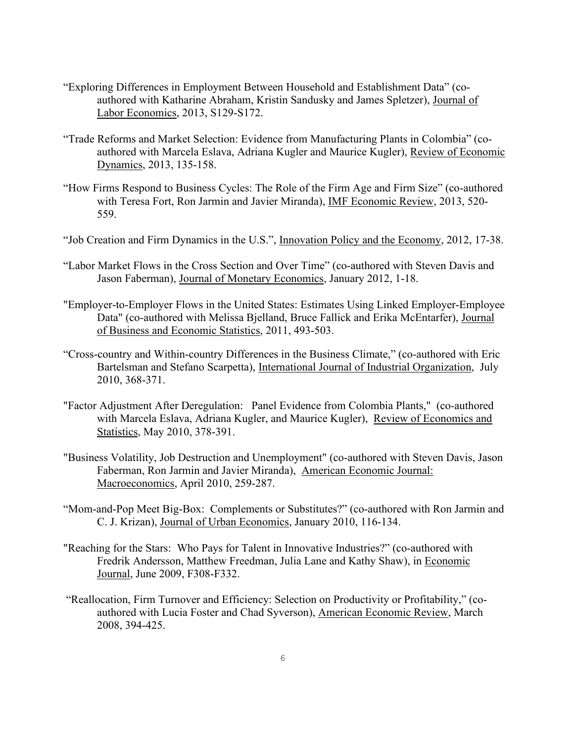- "Exploring Differences in Employment Between Household and Establishment Data" (coauthored with Katharine Abraham, Kristin Sandusky and James Spletzer), Journal of Labor Economics, 2013, S129-S172.
- "Trade Reforms and Market Selection: Evidence from Manufacturing Plants in Colombia" (coauthored with Marcela Eslava, Adriana Kugler and Maurice Kugler), Review of Economic Dynamics, 2013, 135-158.
- "How Firms Respond to Business Cycles: The Role of the Firm Age and Firm Size" (co-authored with Teresa Fort, Ron Jarmin and Javier Miranda), IMF Economic Review, 2013, 520- 559.
- "Job Creation and Firm Dynamics in the U.S.", Innovation Policy and the Economy, 2012, 17-38.
- "Labor Market Flows in the Cross Section and Over Time" (co-authored with Steven Davis and Jason Faberman), Journal of Monetary Economics, January 2012, 1-18.
- "Employer-to-Employer Flows in the United States: Estimates Using Linked Employer-Employee Data" (co-authored with Melissa Bjelland, Bruce Fallick and Erika McEntarfer), Journal of Business and Economic Statistics, 2011, 493-503.
- "Cross-country and Within-country Differences in the Business Climate," (co-authored with Eric Bartelsman and Stefano Scarpetta), International Journal of Industrial Organization, July 2010, 368-371.
- "Factor Adjustment After Deregulation: Panel Evidence from Colombia Plants," (co-authored with Marcela Eslava, Adriana Kugler, and Maurice Kugler), Review of Economics and Statistics, May 2010, 378-391.
- "Business Volatility, Job Destruction and Unemployment" (co-authored with Steven Davis, Jason Faberman, Ron Jarmin and Javier Miranda), American Economic Journal: Macroeconomics, April 2010, 259-287.
- "Mom-and-Pop Meet Big-Box: Complements or Substitutes?" (co-authored with Ron Jarmin and C. J. Krizan), Journal of Urban Economics, January 2010, 116-134.
- "Reaching for the Stars: Who Pays for Talent in Innovative Industries?" (co-authored with Fredrik Andersson, Matthew Freedman, Julia Lane and Kathy Shaw), in Economic Journal, June 2009, F308-F332.
- "Reallocation, Firm Turnover and Efficiency: Selection on Productivity or Profitability," (coauthored with Lucia Foster and Chad Syverson), American Economic Review, March 2008, 394-425.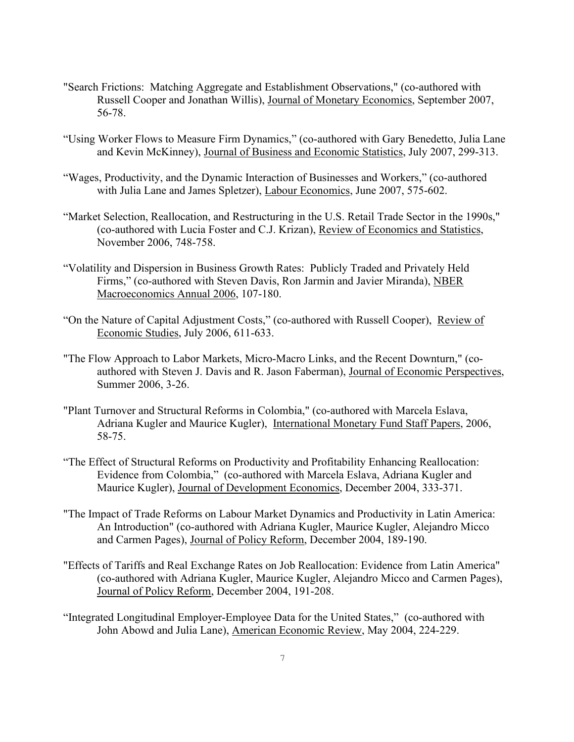- "Search Frictions: Matching Aggregate and Establishment Observations," (co-authored with Russell Cooper and Jonathan Willis), Journal of Monetary Economics, September 2007, 56-78.
- "Using Worker Flows to Measure Firm Dynamics," (co-authored with Gary Benedetto, Julia Lane and Kevin McKinney), Journal of Business and Economic Statistics, July 2007, 299-313.
- "Wages, Productivity, and the Dynamic Interaction of Businesses and Workers," (co-authored with Julia Lane and James Spletzer), Labour Economics, June 2007, 575-602.
- "Market Selection, Reallocation, and Restructuring in the U.S. Retail Trade Sector in the 1990s," (co-authored with Lucia Foster and C.J. Krizan), Review of Economics and Statistics, November 2006, 748-758.
- "Volatility and Dispersion in Business Growth Rates: Publicly Traded and Privately Held Firms," (co-authored with Steven Davis, Ron Jarmin and Javier Miranda), NBER Macroeconomics Annual 2006, 107-180.
- "On the Nature of Capital Adjustment Costs," (co-authored with Russell Cooper), Review of Economic Studies, July 2006, 611-633.
- "The Flow Approach to Labor Markets, Micro-Macro Links, and the Recent Downturn," (coauthored with Steven J. Davis and R. Jason Faberman), Journal of Economic Perspectives, Summer 2006, 3-26.
- "Plant Turnover and Structural Reforms in Colombia," (co-authored with Marcela Eslava, Adriana Kugler and Maurice Kugler), International Monetary Fund Staff Papers, 2006, 58-75.
- "The Effect of Structural Reforms on Productivity and Profitability Enhancing Reallocation: Evidence from Colombia," (co-authored with Marcela Eslava, Adriana Kugler and Maurice Kugler), Journal of Development Economics, December 2004, 333-371.
- "The Impact of Trade Reforms on Labour Market Dynamics and Productivity in Latin America: An Introduction" (co-authored with Adriana Kugler, Maurice Kugler, Alejandro Micco and Carmen Pages), Journal of Policy Reform, December 2004, 189-190.
- "Effects of Tariffs and Real Exchange Rates on Job Reallocation: Evidence from Latin America" (co-authored with Adriana Kugler, Maurice Kugler, Alejandro Micco and Carmen Pages), Journal of Policy Reform, December 2004, 191-208.
- "Integrated Longitudinal Employer-Employee Data for the United States," (co-authored with John Abowd and Julia Lane), American Economic Review, May 2004, 224-229.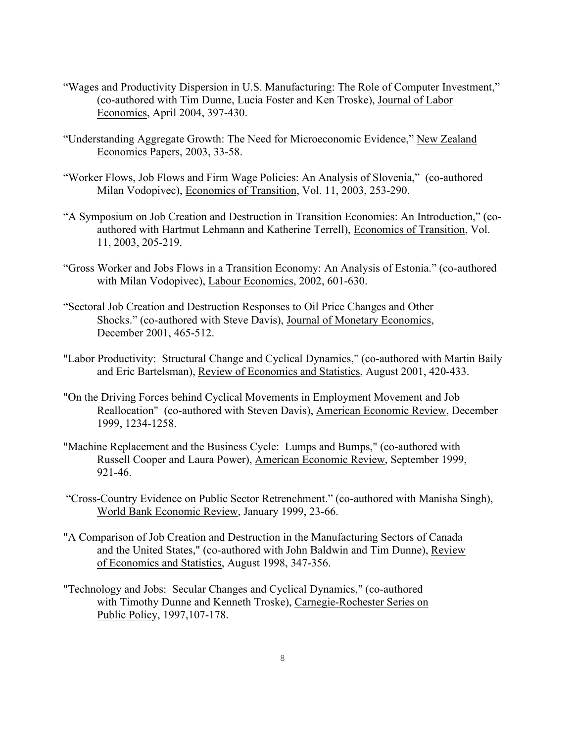- "Wages and Productivity Dispersion in U.S. Manufacturing: The Role of Computer Investment," (co-authored with Tim Dunne, Lucia Foster and Ken Troske), Journal of Labor Economics, April 2004, 397-430.
- "Understanding Aggregate Growth: The Need for Microeconomic Evidence," New Zealand Economics Papers, 2003, 33-58.
- "Worker Flows, Job Flows and Firm Wage Policies: An Analysis of Slovenia," (co-authored Milan Vodopivec), Economics of Transition, Vol. 11, 2003, 253-290.
- "A Symposium on Job Creation and Destruction in Transition Economies: An Introduction," (coauthored with Hartmut Lehmann and Katherine Terrell), Economics of Transition, Vol. 11, 2003, 205-219.
- "Gross Worker and Jobs Flows in a Transition Economy: An Analysis of Estonia." (co-authored with Milan Vodopivec), Labour Economics, 2002, 601-630.
- "Sectoral Job Creation and Destruction Responses to Oil Price Changes and Other Shocks." (co-authored with Steve Davis), Journal of Monetary Economics, December 2001, 465-512.
- "Labor Productivity: Structural Change and Cyclical Dynamics," (co-authored with Martin Baily and Eric Bartelsman), Review of Economics and Statistics, August 2001, 420-433.
- "On the Driving Forces behind Cyclical Movements in Employment Movement and Job Reallocation" (co-authored with Steven Davis), American Economic Review, December 1999, 1234-1258.
- "Machine Replacement and the Business Cycle: Lumps and Bumps," (co-authored with Russell Cooper and Laura Power), American Economic Review, September 1999, 921-46.
- "Cross-Country Evidence on Public Sector Retrenchment." (co-authored with Manisha Singh), World Bank Economic Review, January 1999, 23-66.
- "A Comparison of Job Creation and Destruction in the Manufacturing Sectors of Canada and the United States," (co-authored with John Baldwin and Tim Dunne), Review of Economics and Statistics, August 1998, 347-356.
- "Technology and Jobs: Secular Changes and Cyclical Dynamics," (co-authored with Timothy Dunne and Kenneth Troske), Carnegie-Rochester Series on Public Policy, 1997,107-178.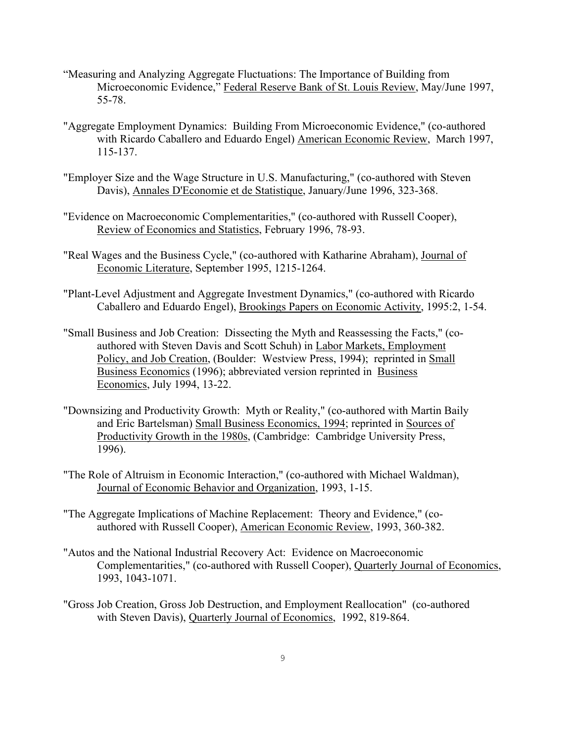- "Measuring and Analyzing Aggregate Fluctuations: The Importance of Building from Microeconomic Evidence," Federal Reserve Bank of St. Louis Review, May/June 1997, 55-78.
- "Aggregate Employment Dynamics: Building From Microeconomic Evidence," (co-authored with Ricardo Caballero and Eduardo Engel) American Economic Review, March 1997, 115-137.
- "Employer Size and the Wage Structure in U.S. Manufacturing," (co-authored with Steven Davis), Annales D'Economie et de Statistique, January/June 1996, 323-368.
- "Evidence on Macroeconomic Complementarities," (co-authored with Russell Cooper), Review of Economics and Statistics, February 1996, 78-93.
- "Real Wages and the Business Cycle," (co-authored with Katharine Abraham), Journal of Economic Literature, September 1995, 1215-1264.
- "Plant-Level Adjustment and Aggregate Investment Dynamics," (co-authored with Ricardo Caballero and Eduardo Engel), Brookings Papers on Economic Activity, 1995:2, 1-54.
- "Small Business and Job Creation: Dissecting the Myth and Reassessing the Facts," (coauthored with Steven Davis and Scott Schuh) in Labor Markets, Employment Policy, and Job Creation, (Boulder: Westview Press, 1994); reprinted in Small Business Economics (1996); abbreviated version reprinted in Business Economics, July 1994, 13-22.
- "Downsizing and Productivity Growth: Myth or Reality," (co-authored with Martin Baily and Eric Bartelsman) Small Business Economics, 1994; reprinted in Sources of Productivity Growth in the 1980s, (Cambridge: Cambridge University Press, 1996).
- "The Role of Altruism in Economic Interaction," (co-authored with Michael Waldman), Journal of Economic Behavior and Organization, 1993, 1-15.
- "The Aggregate Implications of Machine Replacement: Theory and Evidence," (coauthored with Russell Cooper), American Economic Review, 1993, 360-382.
- "Autos and the National Industrial Recovery Act: Evidence on Macroeconomic Complementarities," (co-authored with Russell Cooper), Quarterly Journal of Economics, 1993, 1043-1071.
- "Gross Job Creation, Gross Job Destruction, and Employment Reallocation" (co-authored with Steven Davis), Quarterly Journal of Economics, 1992, 819-864.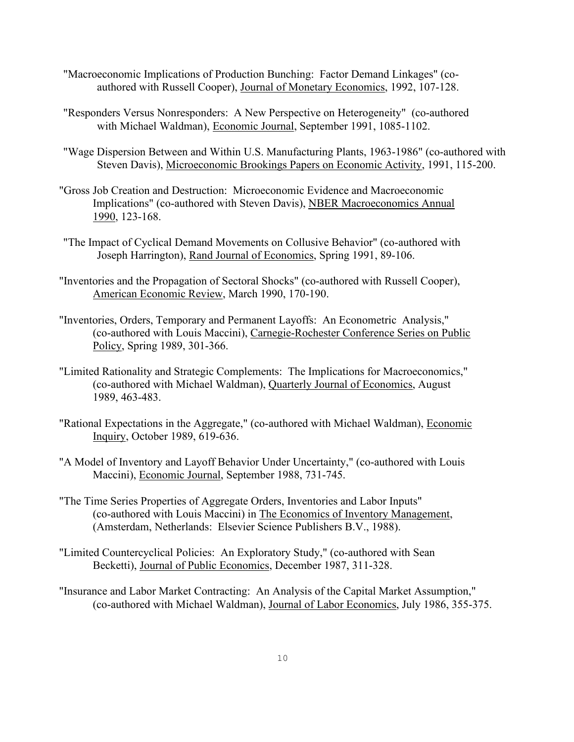- "Macroeconomic Implications of Production Bunching: Factor Demand Linkages" (coauthored with Russell Cooper), Journal of Monetary Economics, 1992, 107-128.
- "Responders Versus Nonresponders: A New Perspective on Heterogeneity" (co-authored with Michael Waldman), Economic Journal, September 1991, 1085-1102.
- "Wage Dispersion Between and Within U.S. Manufacturing Plants, 1963-1986" (co-authored with Steven Davis), Microeconomic Brookings Papers on Economic Activity, 1991, 115-200.
- "Gross Job Creation and Destruction: Microeconomic Evidence and Macroeconomic Implications" (co-authored with Steven Davis), NBER Macroeconomics Annual 1990, 123-168.
- "The Impact of Cyclical Demand Movements on Collusive Behavior" (co-authored with Joseph Harrington), Rand Journal of Economics, Spring 1991, 89-106.
- "Inventories and the Propagation of Sectoral Shocks" (co-authored with Russell Cooper), American Economic Review, March 1990, 170-190.
- "Inventories, Orders, Temporary and Permanent Layoffs: An Econometric Analysis," (co-authored with Louis Maccini), Carnegie-Rochester Conference Series on Public Policy, Spring 1989, 301-366.
- "Limited Rationality and Strategic Complements: The Implications for Macroeconomics," (co-authored with Michael Waldman), Quarterly Journal of Economics, August 1989, 463-483.
- "Rational Expectations in the Aggregate," (co-authored with Michael Waldman), Economic Inquiry, October 1989, 619-636.
- "A Model of Inventory and Layoff Behavior Under Uncertainty," (co-authored with Louis Maccini), Economic Journal, September 1988, 731-745.
- "The Time Series Properties of Aggregate Orders, Inventories and Labor Inputs" (co-authored with Louis Maccini) in The Economics of Inventory Management, (Amsterdam, Netherlands: Elsevier Science Publishers B.V., 1988).
- "Limited Countercyclical Policies: An Exploratory Study," (co-authored with Sean Becketti), Journal of Public Economics, December 1987, 311-328.
- "Insurance and Labor Market Contracting: An Analysis of the Capital Market Assumption," (co-authored with Michael Waldman), Journal of Labor Economics, July 1986, 355-375.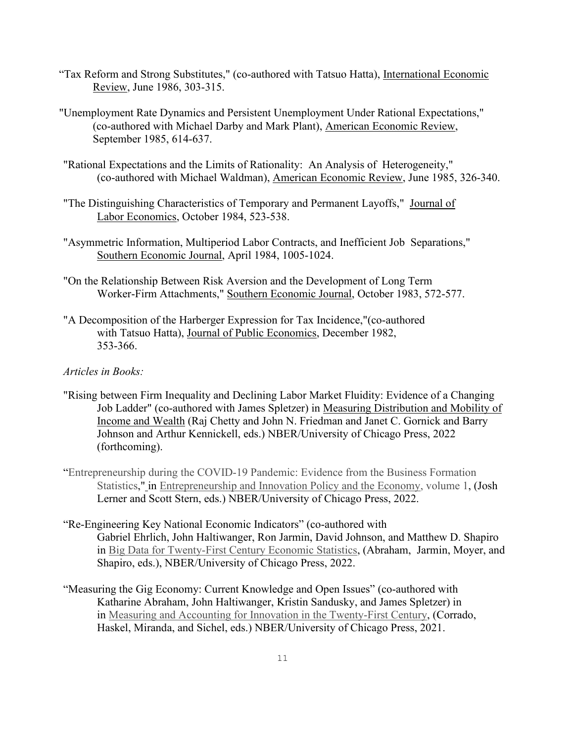- "Tax Reform and Strong Substitutes," (co-authored with Tatsuo Hatta), International Economic Review, June 1986, 303-315.
- "Unemployment Rate Dynamics and Persistent Unemployment Under Rational Expectations," (co-authored with Michael Darby and Mark Plant), American Economic Review, September 1985, 614-637.
- "Rational Expectations and the Limits of Rationality: An Analysis of Heterogeneity," (co-authored with Michael Waldman), American Economic Review, June 1985, 326-340.
- "The Distinguishing Characteristics of Temporary and Permanent Layoffs," Journal of Labor Economics, October 1984, 523-538.
- "Asymmetric Information, Multiperiod Labor Contracts, and Inefficient Job Separations," Southern Economic Journal, April 1984, 1005-1024.
- "On the Relationship Between Risk Aversion and the Development of Long Term Worker-Firm Attachments," Southern Economic Journal, October 1983, 572-577.
- "A Decomposition of the Harberger Expression for Tax Incidence,"(co-authored with Tatsuo Hatta), Journal of Public Economics, December 1982, 353-366.

### *Articles in Books:*

- "Rising between Firm Inequality and Declining Labor Market Fluidity: Evidence of a Changing Job Ladder" (co-authored with James Spletzer) in Measuring Distribution and Mobility of Income and Wealth (Raj Chetty and John N. Friedman and Janet C. Gornick and Barry Johnson and Arthur Kennickell, eds.) NBER/University of Chicago Press, 2022 (forthcoming).
- ["Entrepreneurship during the COVID-19 Pandemic: Evidence from the Business Formation](https://ideas.repec.org/h/nbr/nberch/14575.html)  [Statistics,](https://ideas.repec.org/h/nbr/nberch/14575.html)" in [Entrepreneurship and Innovation Policy and the Economy, volume 1,](https://ideas.repec.org/b/nbr/nberbk/lern-14.html) (Josh Lerner and Scott Stern, eds.) NBER/University of Chicago Press, 2022.
- "Re-Engineering Key National Economic Indicators" (co-authored with Gabriel Ehrlich, John Haltiwanger, Ron Jarmin, David Johnson, and Matthew D. Shapiro in [Big Data for Twenty-First Century Economic Statistics,](https://www.nber.org/books-and-chapters/big-data-twenty-first-century-economic-statistics) (Abraham, Jarmin, Moyer, and Shapiro, eds.), NBER/University of Chicago Press, 2022.
- "Measuring the Gig Economy: Current Knowledge and Open Issues" (co-authored with Katharine Abraham, John Haltiwanger, Kristin Sandusky, and James Spletzer) in in [Measuring and Accounting for Innovation in the Twenty-First Century,](https://www.nber.org/books-and-chapters/measuring-and-accounting-innovation-twenty-first-century) (Corrado, Haskel, Miranda, and Sichel, eds.) NBER/University of Chicago Press, 2021.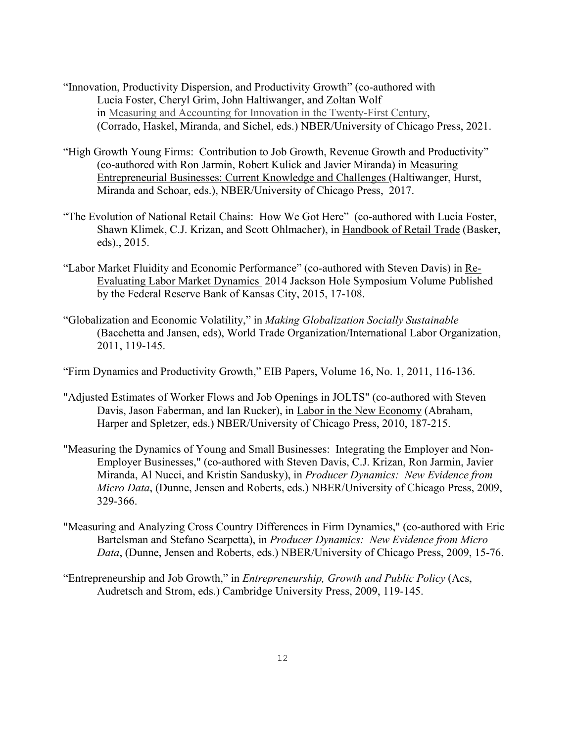- "Innovation, Productivity Dispersion, and Productivity Growth" (co-authored with Lucia Foster, Cheryl Grim, John Haltiwanger, and Zoltan Wolf in [Measuring and Accounting for Innovation in the Twenty-First Century,](https://www.nber.org/books-and-chapters/measuring-and-accounting-innovation-twenty-first-century) (Corrado, Haskel, Miranda, and Sichel, eds.) NBER/University of Chicago Press, 2021.
- "High Growth Young Firms: Contribution to Job Growth, Revenue Growth and Productivity" (co-authored with Ron Jarmin, Robert Kulick and Javier Miranda) in Measuring Entrepreneurial Businesses: Current Knowledge and Challenges (Haltiwanger, Hurst, Miranda and Schoar, eds.), NBER/University of Chicago Press, 2017.
- "The Evolution of National Retail Chains: How We Got Here" (co-authored with Lucia Foster, Shawn Klimek, C.J. Krizan, and Scott Ohlmacher), in Handbook of Retail Trade (Basker, eds)., 2015.
- "Labor Market Fluidity and Economic Performance" (co-authored with Steven Davis) in Re-Evaluating Labor Market Dynamics 2014 Jackson Hole Symposium Volume Published by the Federal Reserve Bank of Kansas City, 2015, 17-108.
- "Globalization and Economic Volatility," in *Making Globalization Socially Sustainable* (Bacchetta and Jansen, eds), World Trade Organization/International Labor Organization, 2011, 119-145.
- "Firm Dynamics and Productivity Growth," EIB Papers, Volume 16, No. 1, 2011, 116-136.
- "Adjusted Estimates of Worker Flows and Job Openings in JOLTS" (co-authored with Steven Davis, Jason Faberman, and Ian Rucker), in Labor in the New Economy (Abraham, Harper and Spletzer, eds.) NBER/University of Chicago Press, 2010, 187-215.
- "Measuring the Dynamics of Young and Small Businesses: Integrating the Employer and Non-Employer Businesses," (co-authored with Steven Davis, C.J. Krizan, Ron Jarmin, Javier Miranda, Al Nucci, and Kristin Sandusky), in *Producer Dynamics: New Evidence from Micro Data*, (Dunne, Jensen and Roberts, eds.) NBER/University of Chicago Press, 2009, 329-366.
- "Measuring and Analyzing Cross Country Differences in Firm Dynamics," (co-authored with Eric Bartelsman and Stefano Scarpetta), in *Producer Dynamics: New Evidence from Micro Data*, (Dunne, Jensen and Roberts, eds.) NBER/University of Chicago Press, 2009, 15-76.
- "Entrepreneurship and Job Growth," in *Entrepreneurship, Growth and Public Policy* (Acs, Audretsch and Strom, eds.) Cambridge University Press, 2009, 119-145.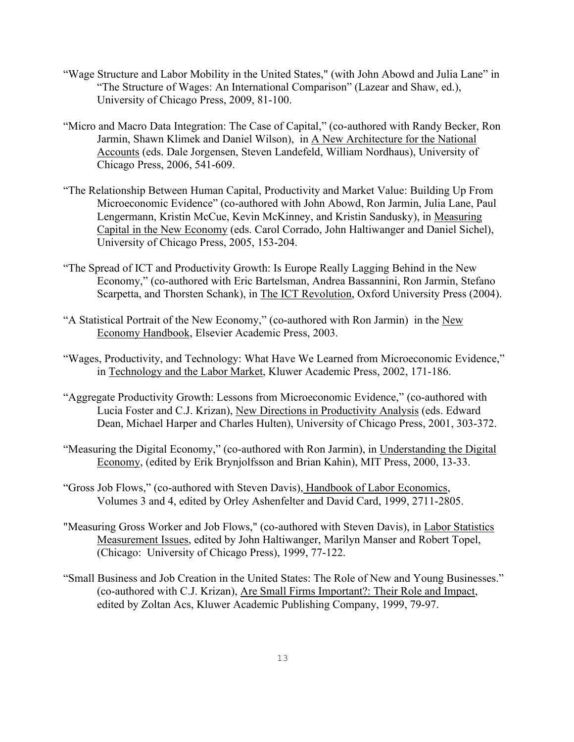- "Wage Structure and Labor Mobility in the United States," (with John Abowd and Julia Lane" in "The Structure of Wages: An International Comparison" (Lazear and Shaw, ed.), University of Chicago Press, 2009, 81-100.
- "Micro and Macro Data Integration: The Case of Capital," (co-authored with Randy Becker, Ron Jarmin, Shawn Klimek and Daniel Wilson), in A New Architecture for the National Accounts (eds. Dale Jorgensen, Steven Landefeld, William Nordhaus), University of Chicago Press, 2006, 541-609.
- "The Relationship Between Human Capital, Productivity and Market Value: Building Up From Microeconomic Evidence" (co-authored with John Abowd, Ron Jarmin, Julia Lane, Paul Lengermann, Kristin McCue, Kevin McKinney, and Kristin Sandusky), in Measuring Capital in the New Economy (eds. Carol Corrado, John Haltiwanger and Daniel Sichel), University of Chicago Press, 2005, 153-204.
- "The Spread of ICT and Productivity Growth: Is Europe Really Lagging Behind in the New Economy," (co-authored with Eric Bartelsman, Andrea Bassannini, Ron Jarmin, Stefano Scarpetta, and Thorsten Schank), in The ICT Revolution, Oxford University Press (2004).
- "A Statistical Portrait of the New Economy," (co-authored with Ron Jarmin) in the New Economy Handbook, Elsevier Academic Press, 2003.
- "Wages, Productivity, and Technology: What Have We Learned from Microeconomic Evidence," in Technology and the Labor Market, Kluwer Academic Press, 2002, 171-186.
- "Aggregate Productivity Growth: Lessons from Microeconomic Evidence," (co-authored with Lucia Foster and C.J. Krizan), New Directions in Productivity Analysis (eds. Edward Dean, Michael Harper and Charles Hulten), University of Chicago Press, 2001, 303-372.
- "Measuring the Digital Economy," (co-authored with Ron Jarmin), in Understanding the Digital Economy, (edited by Erik Brynjolfsson and Brian Kahin), MIT Press, 2000, 13-33.
- "Gross Job Flows," (co-authored with Steven Davis), Handbook of Labor Economics, Volumes 3 and 4, edited by Orley Ashenfelter and David Card, 1999, 2711-2805.
- "Measuring Gross Worker and Job Flows," (co-authored with Steven Davis), in Labor Statistics Measurement Issues, edited by John Haltiwanger, Marilyn Manser and Robert Topel, (Chicago: University of Chicago Press), 1999, 77-122.
- "Small Business and Job Creation in the United States: The Role of New and Young Businesses." (co-authored with C.J. Krizan), Are Small Firms Important?: Their Role and Impact, edited by Zoltan Acs, Kluwer Academic Publishing Company, 1999, 79-97.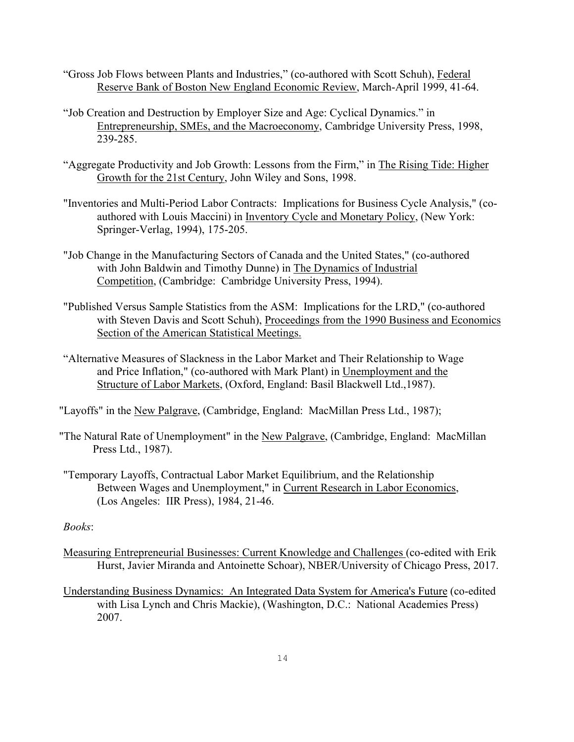- "Gross Job Flows between Plants and Industries," (co-authored with Scott Schuh), Federal Reserve Bank of Boston New England Economic Review, March-April 1999, 41-64.
- "Job Creation and Destruction by Employer Size and Age: Cyclical Dynamics." in Entrepreneurship, SMEs, and the Macroeconomy, Cambridge University Press, 1998, 239-285.
- "Aggregate Productivity and Job Growth: Lessons from the Firm," in The Rising Tide: Higher Growth for the 21st Century, John Wiley and Sons, 1998.
- "Inventories and Multi-Period Labor Contracts: Implications for Business Cycle Analysis," (coauthored with Louis Maccini) in Inventory Cycle and Monetary Policy, (New York: Springer-Verlag, 1994), 175-205.
- "Job Change in the Manufacturing Sectors of Canada and the United States," (co-authored with John Baldwin and Timothy Dunne) in The Dynamics of Industrial Competition, (Cambridge: Cambridge University Press, 1994).
- "Published Versus Sample Statistics from the ASM: Implications for the LRD," (co-authored with Steven Davis and Scott Schuh), Proceedings from the 1990 Business and Economics Section of the American Statistical Meetings.
- "Alternative Measures of Slackness in the Labor Market and Their Relationship to Wage and Price Inflation," (co-authored with Mark Plant) in Unemployment and the Structure of Labor Markets, (Oxford, England: Basil Blackwell Ltd.,1987).
- "Layoffs" in the New Palgrave, (Cambridge, England: MacMillan Press Ltd., 1987);
- "The Natural Rate of Unemployment" in the New Palgrave, (Cambridge, England: MacMillan Press Ltd., 1987).
- "Temporary Layoffs, Contractual Labor Market Equilibrium, and the Relationship Between Wages and Unemployment," in Current Research in Labor Economics, (Los Angeles: IIR Press), 1984, 21-46.

### *Books*:

- Measuring Entrepreneurial Businesses: Current Knowledge and Challenges (co-edited with Erik Hurst, Javier Miranda and Antoinette Schoar), NBER/University of Chicago Press, 2017.
- Understanding Business Dynamics: An Integrated Data System for America's Future (co-edited with Lisa Lynch and Chris Mackie), (Washington, D.C.: National Academies Press) 2007.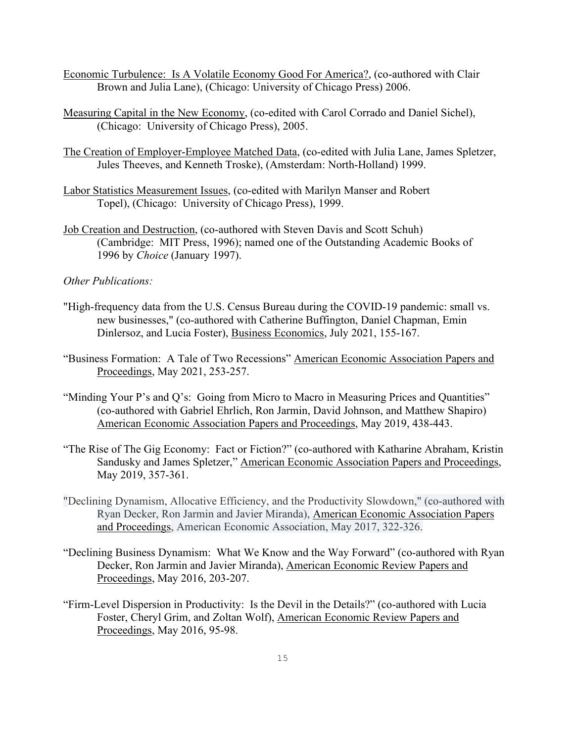- Economic Turbulence: Is A Volatile Economy Good For America?, (co-authored with Clair Brown and Julia Lane), (Chicago: University of Chicago Press) 2006.
- Measuring Capital in the New Economy, (co-edited with Carol Corrado and Daniel Sichel), (Chicago: University of Chicago Press), 2005.
- The Creation of Employer-Employee Matched Data, (co-edited with Julia Lane, James Spletzer, Jules Theeves, and Kenneth Troske), (Amsterdam: North-Holland) 1999.
- Labor Statistics Measurement Issues, (co-edited with Marilyn Manser and Robert Topel), (Chicago: University of Chicago Press), 1999.
- Job Creation and Destruction, (co-authored with Steven Davis and Scott Schuh) (Cambridge: MIT Press, 1996); named one of the Outstanding Academic Books of 1996 by *Choice* (January 1997).

#### *Other Publications:*

- "High-frequency data from the U.S. Census Bureau during the COVID-19 pandemic: small vs. new businesses," (co-authored with Catherine Buffington, Daniel Chapman, Emin Dinlersoz, and Lucia Foster), Business Economics, July 2021, 155-167.
- "Business Formation: A Tale of Two Recessions" American Economic Association Papers and Proceedings, May 2021, 253-257.
- "Minding Your P's and Q's: Going from Micro to Macro in Measuring Prices and Quantities" (co-authored with Gabriel Ehrlich, Ron Jarmin, David Johnson, and Matthew Shapiro) American Economic Association Papers and Proceedings, May 2019, 438-443.
- "The Rise of The Gig Economy: Fact or Fiction?" (co-authored with Katharine Abraham, Kristin Sandusky and James Spletzer," American Economic Association Papers and Proceedings, May 2019, 357-361.
- "Declining Dynamism, Allocative Efficiency, and the Productivity Slowdown," (co-authored with Ryan Decker, Ron Jarmin and Javier Miranda), American Economic Association Papers and Proceedings, American Economic Association, May 2017, 322-326.
- "Declining Business Dynamism: What We Know and the Way Forward" (co-authored with Ryan Decker, Ron Jarmin and Javier Miranda), American Economic Review Papers and Proceedings, May 2016, 203-207.
- "Firm-Level Dispersion in Productivity: Is the Devil in the Details?" (co-authored with Lucia Foster, Cheryl Grim, and Zoltan Wolf), American Economic Review Papers and Proceedings, May 2016, 95-98.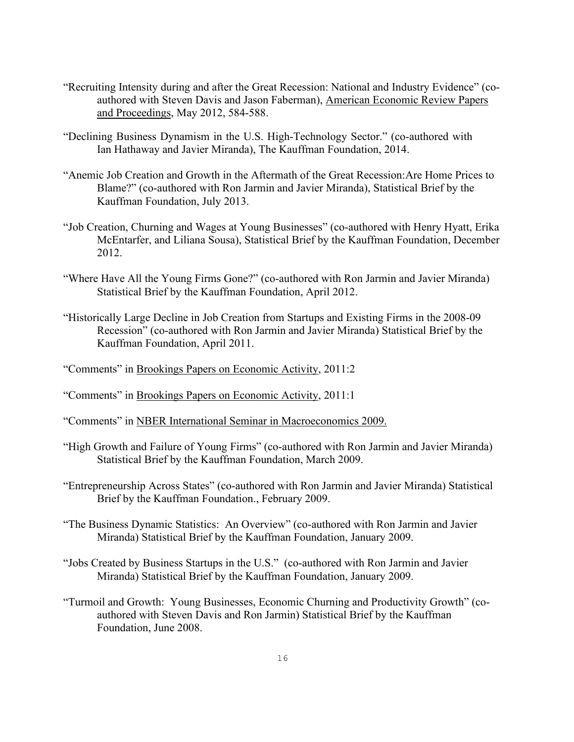- "Recruiting Intensity during and after the Great Recession: National and Industry Evidence" (coauthored with Steven Davis and Jason Faberman), American Economic Review Papers and Proceedings, May 2012, 584-588.
- "Declining Business Dynamism in the U.S. High-Technology Sector." (co-authored with Ian Hathaway and Javier Miranda), The Kauffman Foundation, 2014.
- "Anemic Job Creation and Growth in the Aftermath of the Great Recession:Are Home Prices to Blame?" (co-authored with Ron Jarmin and Javier Miranda), Statistical Brief by the Kauffman Foundation, July 2013.
- "Job Creation, Churning and Wages at Young Businesses" (co-authored with Henry Hyatt, Erika McEntarfer, and Liliana Sousa), Statistical Brief by the Kauffman Foundation, December 2012.
- "Where Have All the Young Firms Gone?" (co-authored with Ron Jarmin and Javier Miranda) Statistical Brief by the Kauffman Foundation, April 2012.
- "Historically Large Decline in Job Creation from Startups and Existing Firms in the 2008-09 Recession" (co-authored with Ron Jarmin and Javier Miranda) Statistical Brief by the Kauffman Foundation, April 2011.
- "Comments" in Brookings Papers on Economic Activity, 2011:2
- "Comments" in Brookings Papers on Economic Activity, 2011:1
- "Comments" in NBER International Seminar in Macroeconomics 2009.
- "High Growth and Failure of Young Firms" (co-authored with Ron Jarmin and Javier Miranda) Statistical Brief by the Kauffman Foundation, March 2009.
- "Entrepreneurship Across States" (co-authored with Ron Jarmin and Javier Miranda) Statistical Brief by the Kauffman Foundation., February 2009.
- "The Business Dynamic Statistics: An Overview" (co-authored with Ron Jarmin and Javier Miranda) Statistical Brief by the Kauffman Foundation, January 2009.
- "Jobs Created by Business Startups in the U.S." (co-authored with Ron Jarmin and Javier Miranda) Statistical Brief by the Kauffman Foundation, January 2009.
- "Turmoil and Growth: Young Businesses, Economic Churning and Productivity Growth" (coauthored with Steven Davis and Ron Jarmin) Statistical Brief by the Kauffman Foundation, June 2008.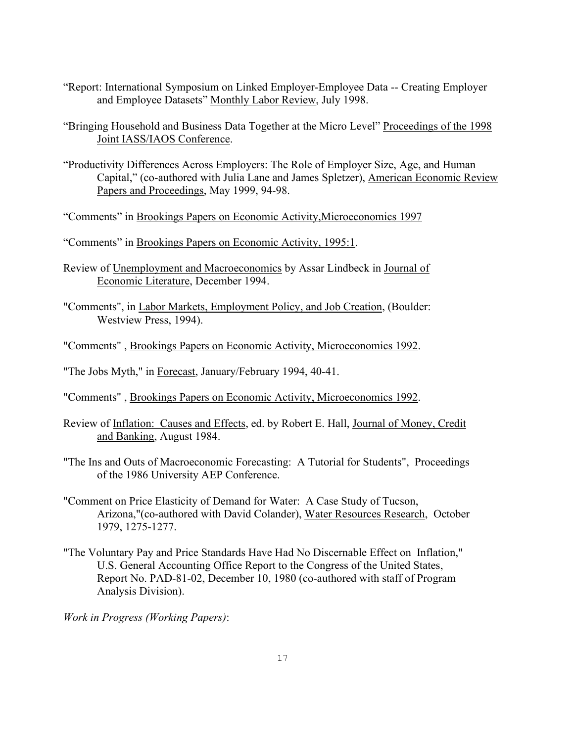- "Report: International Symposium on Linked Employer-Employee Data -- Creating Employer and Employee Datasets" Monthly Labor Review, July 1998.
- "Bringing Household and Business Data Together at the Micro Level" Proceedings of the 1998 Joint IASS/IAOS Conference.
- "Productivity Differences Across Employers: The Role of Employer Size, Age, and Human Capital," (co-authored with Julia Lane and James Spletzer), American Economic Review Papers and Proceedings, May 1999, 94-98.
- "Comments" in Brookings Papers on Economic Activity,Microeconomics 1997
- "Comments" in Brookings Papers on Economic Activity, 1995:1.
- Review of Unemployment and Macroeconomics by Assar Lindbeck in Journal of Economic Literature, December 1994.
- "Comments", in Labor Markets, Employment Policy, and Job Creation, (Boulder: Westview Press, 1994).
- "Comments" , Brookings Papers on Economic Activity, Microeconomics 1992.
- "The Jobs Myth," in Forecast, January/February 1994, 40-41.
- "Comments" , Brookings Papers on Economic Activity, Microeconomics 1992.
- Review of Inflation: Causes and Effects, ed. by Robert E. Hall, Journal of Money, Credit and Banking, August 1984.
- "The Ins and Outs of Macroeconomic Forecasting: A Tutorial for Students", Proceedings of the 1986 University AEP Conference.
- "Comment on Price Elasticity of Demand for Water: A Case Study of Tucson, Arizona,"(co-authored with David Colander), Water Resources Research, October 1979, 1275-1277.
- "The Voluntary Pay and Price Standards Have Had No Discernable Effect on Inflation," U.S. General Accounting Office Report to the Congress of the United States, Report No. PAD-81-02, December 10, 1980 (co-authored with staff of Program Analysis Division).

*Work in Progress (Working Papers)*: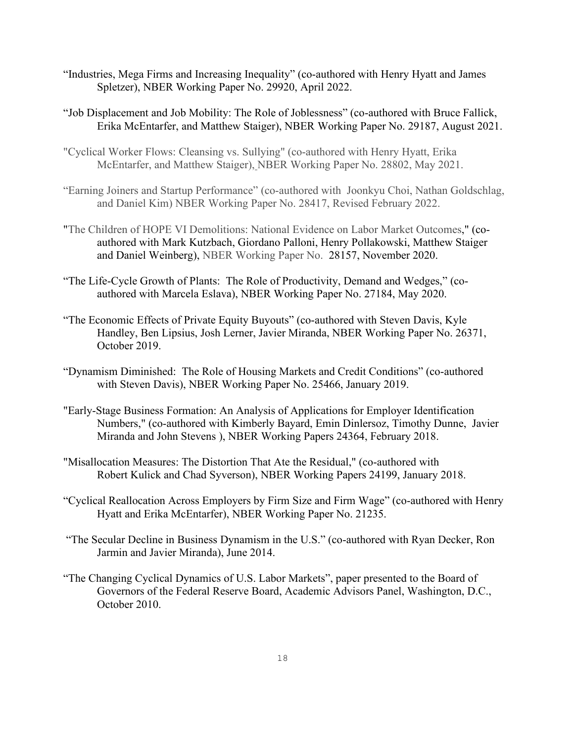- "Industries, Mega Firms and Increasing Inequality" (co-authored with Henry Hyatt and James Spletzer), NBER Working Paper No. 29920, April 2022.
- "Job Displacement and Job Mobility: The Role of Joblessness" (co-authored with Bruce Fallick, Erika McEntarfer, and Matthew Staiger), NBER Working Paper No. 29187, August 2021.
- ["Cyclical Worker Flows: Cleansing vs. Sullying"](https://ideas.repec.org/p/nbr/nberwo/28802.html) (co-authored with Henry Hyatt, Erika McEntarfer, and Matthew Staiger), [NBER Working Paper No. 2](https://ideas.repec.org/s/nbr/nberwo.html)8802, May 2021.
- "Earning Joiners and Startup Performance" (co-authored with Joonkyu Choi, Nathan Goldschlag, and Daniel Kim) NBER Working Paper No. 28417, Revised February 2022.
- ["The Children of HOPE VI Demolitions: National Evidence on Labor Market Outcomes,](https://ideas.repec.org/p/nbr/nberwo/28157.html)" (coauthored with Mark Kutzbach, Giordano Palloni, Henry Pollakowski, Matthew Staiger and Daniel Weinberg), [NBER Working Paper No.](https://ideas.repec.org/s/nbr/nberwo.html) 28157, November 2020.
- "The Life-Cycle Growth of Plants: The Role of Productivity, Demand and Wedges," (coauthored with Marcela Eslava), NBER Working Paper No. 27184, May 2020.
- "The Economic Effects of Private Equity Buyouts" (co-authored with Steven Davis, Kyle Handley, Ben Lipsius, Josh Lerner, Javier Miranda, NBER Working Paper No. 26371, October 2019.
- "Dynamism Diminished: The Role of Housing Markets and Credit Conditions" (co-authored with Steven Davis), NBER Working Paper No. 25466, January 2019.
- "Early-Stage Business Formation: An Analysis of Applications for Employer Identification Numbers," (co-authored with Kimberly Bayard, Emin Dinlersoz, Timothy Dunne, Javier Miranda and John Stevens ), NBER Working Papers 24364, February 2018.
- "Misallocation Measures: The Distortion That Ate the Residual," (co-authored with Robert Kulick and Chad Syverson), NBER Working Papers 24199, January 2018.
- "Cyclical Reallocation Across Employers by Firm Size and Firm Wage" (co-authored with Henry Hyatt and Erika McEntarfer), NBER Working Paper No. 21235.
- "The Secular Decline in Business Dynamism in the U.S." (co-authored with Ryan Decker, Ron Jarmin and Javier Miranda), June 2014.
- "The Changing Cyclical Dynamics of U.S. Labor Markets", paper presented to the Board of Governors of the Federal Reserve Board, Academic Advisors Panel, Washington, D.C., October 2010.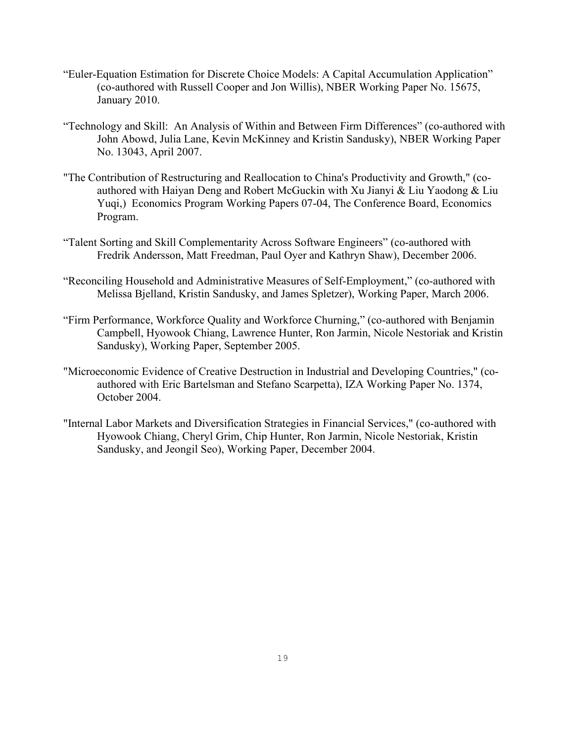- "Euler-Equation Estimation for Discrete Choice Models: A Capital Accumulation Application" (co-authored with Russell Cooper and Jon Willis), NBER Working Paper No. 15675, January 2010.
- "Technology and Skill: An Analysis of Within and Between Firm Differences" (co-authored with John Abowd, Julia Lane, Kevin McKinney and Kristin Sandusky), NBER Working Paper No. 13043, April 2007.
- "The Contribution of Restructuring and Reallocation to China's Productivity and Growth," (coauthored with Haiyan Deng and Robert McGuckin with Xu Jianyi & Liu Yaodong & Liu Yuqi,) Economics Program Working Papers 07-04, The Conference Board, Economics Program.
- "Talent Sorting and Skill Complementarity Across Software Engineers" (co-authored with Fredrik Andersson, Matt Freedman, Paul Oyer and Kathryn Shaw), December 2006.
- "Reconciling Household and Administrative Measures of Self-Employment," (co-authored with Melissa Bjelland, Kristin Sandusky, and James Spletzer), Working Paper, March 2006.
- "Firm Performance, Workforce Quality and Workforce Churning," (co-authored with Benjamin Campbell, Hyowook Chiang, Lawrence Hunter, Ron Jarmin, Nicole Nestoriak and Kristin Sandusky), Working Paper, September 2005.
- "Microeconomic Evidence of Creative Destruction in Industrial and Developing Countries," (coauthored with Eric Bartelsman and Stefano Scarpetta), IZA Working Paper No. 1374, October 2004.
- "Internal Labor Markets and Diversification Strategies in Financial Services," (co-authored with Hyowook Chiang, Cheryl Grim, Chip Hunter, Ron Jarmin, Nicole Nestoriak, Kristin Sandusky, and Jeongil Seo), Working Paper, December 2004.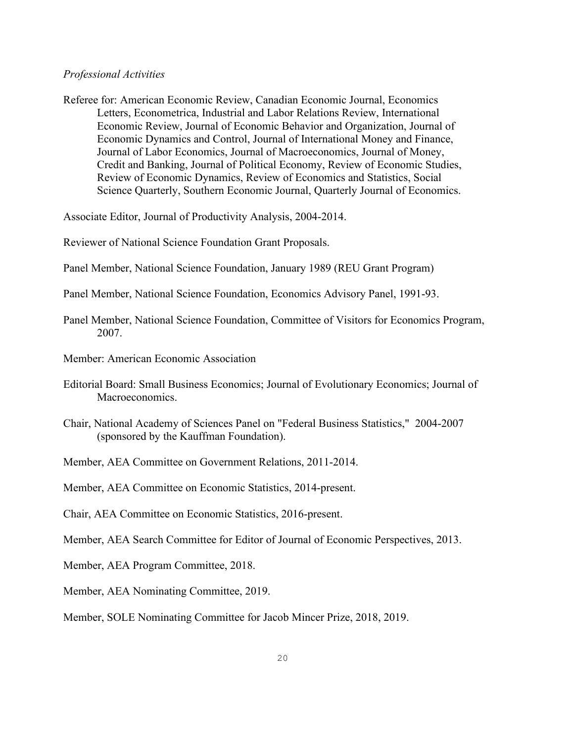### *Professional Activities*

Referee for: American Economic Review, Canadian Economic Journal, Economics Letters, Econometrica, Industrial and Labor Relations Review, International Economic Review, Journal of Economic Behavior and Organization, Journal of Economic Dynamics and Control, Journal of International Money and Finance, Journal of Labor Economics, Journal of Macroeconomics, Journal of Money, Credit and Banking, Journal of Political Economy, Review of Economic Studies, Review of Economic Dynamics, Review of Economics and Statistics, Social Science Quarterly, Southern Economic Journal, Quarterly Journal of Economics.

Associate Editor, Journal of Productivity Analysis, 2004-2014.

Reviewer of National Science Foundation Grant Proposals.

Panel Member, National Science Foundation, January 1989 (REU Grant Program)

Panel Member, National Science Foundation, Economics Advisory Panel, 1991-93.

- Panel Member, National Science Foundation, Committee of Visitors for Economics Program, 2007.
- Member: American Economic Association
- Editorial Board: Small Business Economics; Journal of Evolutionary Economics; Journal of Macroeconomics.
- Chair, National Academy of Sciences Panel on "Federal Business Statistics," 2004-2007 (sponsored by the Kauffman Foundation).
- Member, AEA Committee on Government Relations, 2011-2014.
- Member, AEA Committee on Economic Statistics, 2014-present.
- Chair, AEA Committee on Economic Statistics, 2016-present.
- Member, AEA Search Committee for Editor of Journal of Economic Perspectives, 2013.
- Member, AEA Program Committee, 2018.
- Member, AEA Nominating Committee, 2019.

Member, SOLE Nominating Committee for Jacob Mincer Prize, 2018, 2019.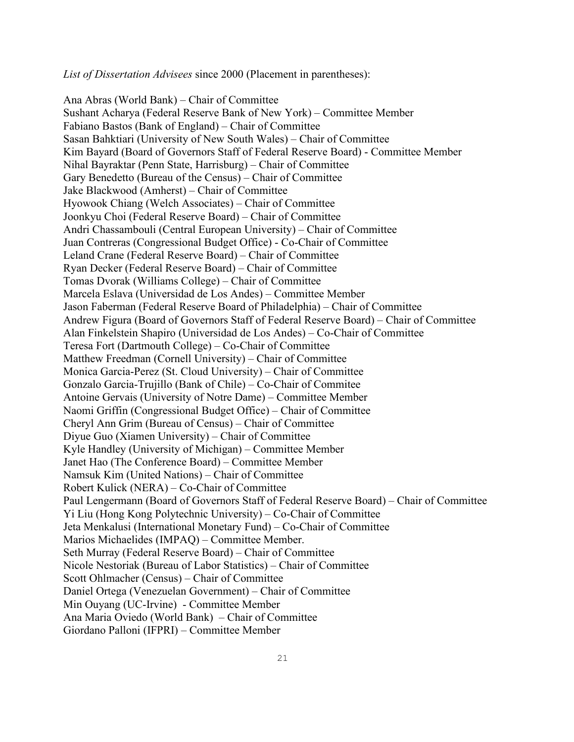*List of Dissertation Advisees* since 2000 (Placement in parentheses):

Ana Abras (World Bank) – Chair of Committee Sushant Acharya (Federal Reserve Bank of New York) – Committee Member Fabiano Bastos (Bank of England) – Chair of Committee Sasan Bahktiari (University of New South Wales) – Chair of Committee Kim Bayard (Board of Governors Staff of Federal Reserve Board) - Committee Member Nihal Bayraktar (Penn State, Harrisburg) – Chair of Committee Gary Benedetto (Bureau of the Census) – Chair of Committee Jake Blackwood (Amherst) – Chair of Committee Hyowook Chiang (Welch Associates) – Chair of Committee Joonkyu Choi (Federal Reserve Board) – Chair of Committee Andri Chassambouli (Central European University) – Chair of Committee Juan Contreras (Congressional Budget Office) - Co-Chair of Committee Leland Crane (Federal Reserve Board) – Chair of Committee Ryan Decker (Federal Reserve Board) – Chair of Committee Tomas Dvorak (Williams College) – Chair of Committee Marcela Eslava (Universidad de Los Andes) – Committee Member Jason Faberman (Federal Reserve Board of Philadelphia) – Chair of Committee Andrew Figura (Board of Governors Staff of Federal Reserve Board) – Chair of Committee Alan Finkelstein Shapiro (Universidad de Los Andes) – Co-Chair of Committee Teresa Fort (Dartmouth College) – Co-Chair of Committee Matthew Freedman (Cornell University) – Chair of Committee Monica Garcia-Perez (St. Cloud University) – Chair of Committee Gonzalo Garcia-Trujillo (Bank of Chile) – Co-Chair of Commitee Antoine Gervais (University of Notre Dame) – Committee Member Naomi Griffin (Congressional Budget Office) – Chair of Committee Cheryl Ann Grim (Bureau of Census) – Chair of Committee Diyue Guo (Xiamen University) – Chair of Committee Kyle Handley (University of Michigan) – Committee Member Janet Hao (The Conference Board) – Committee Member Namsuk Kim (United Nations) – Chair of Committee Robert Kulick (NERA) – Co-Chair of Committee Paul Lengermann (Board of Governors Staff of Federal Reserve Board) – Chair of Committee Yi Liu (Hong Kong Polytechnic University) – Co-Chair of Committee Jeta Menkalusi (International Monetary Fund) – Co-Chair of Committee Marios Michaelides (IMPAQ) – Committee Member. Seth Murray (Federal Reserve Board) – Chair of Committee Nicole Nestoriak (Bureau of Labor Statistics) – Chair of Committee Scott Ohlmacher (Census) – Chair of Committee Daniel Ortega (Venezuelan Government) – Chair of Committee Min Ouyang (UC-Irvine) - Committee Member Ana Maria Oviedo (World Bank) – Chair of Committee Giordano Palloni (IFPRI) – Committee Member